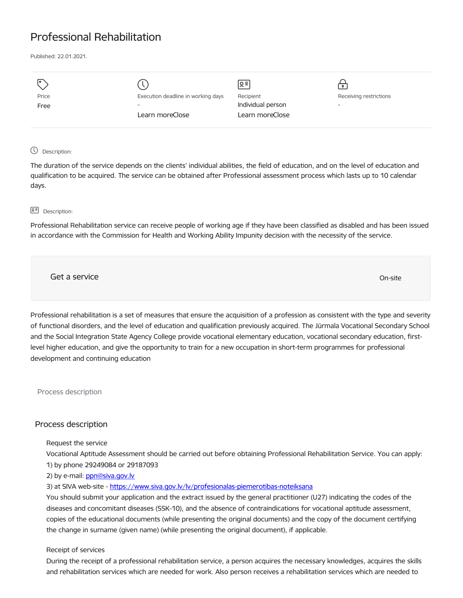# Professional Rehabilitation

Published: 22.01.2021.

| I۰    |                                    | Զ≡                |                          |
|-------|------------------------------------|-------------------|--------------------------|
| Price | Execution deadline in working days | Recipient         | Receiving restrictions   |
| Free  | $\overline{\phantom{a}}$           | Individual person | $\overline{\phantom{a}}$ |
|       | Learn moreClose                    | Learn moreClose   |                          |
|       |                                    |                   |                          |

## Description:

The duration of the service depends on the clients' individual abilities, the field of education, and on the level of education and qualification to be acquired. The service can be obtained after Professional assessment process which lasts up to 10 calendar days.

### **B<sub>E</sub>** Description:

Professional Rehabilitation service can receive people of working age if they have been classified as disabled and has been issued in accordance with the Commission for Health and Working Ability Impunity decision with the necessity of the service.

Get a service On-site

Professional rehabilitation is a set of measures that ensure the acquisition of a profession as consistent with the type and severity of functional disorders, and the level of education and qualification previously acquired. The Jūrmala Vocational Secondary School and the Social Integration State Agency College provide vocational elementary education, vocational secondary education, firstlevel higher education, and give the opportunity to train for a new occupation in short-term programmes for professional development and continuing education

Process description

# Process description

### Request the service

Vocational Aptitude Assessment should be carried out before obtaining Professional Rehabilitation Service. You can apply: 1) by phone 29249084 or 29187093

2) by e-mail: [ppn@siva.gov.lv](mailto:ppn@siva.gov.lv)

3) at SIVA web-site - <https://www.siva.gov.lv/lv/profesionalas-piemerotibas-noteiksana>

You should submit your application and the extract issued by the general practitioner (U27) indicating the codes of the diseases and concomitant diseases (SSK-10), and the absence of contraindications for vocational aptitude assessment, copies of the educational documents (while presenting the original documents) and the copy of the document certifying the change in surname (given name) (while presenting the original document), if applicable.

## Receipt of services

During the receipt of a professional rehabilitation service, a person acquires the necessary knowledges, acquires the skills and rehabilitation services which are needed for work. Also person receives a rehabilitation services which are needed to